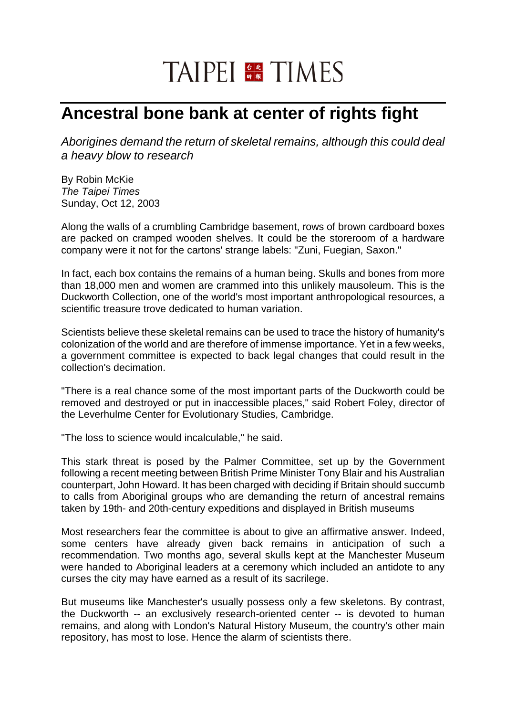## TAIPEI **FR** TIMES

## **Ancestral bone bank at center of rights fight**

*Aborigines demand the return of skeletal remains, although this could deal a heavy blow to research*

By Robin McKie *The Taipei Times*  Sunday, Oct 12, 2003

Along the walls of a crumbling Cambridge basement, rows of brown cardboard boxes are packed on cramped wooden shelves. It could be the storeroom of a hardware company were it not for the cartons' strange labels: "Zuni, Fuegian, Saxon."

In fact, each box contains the remains of a human being. Skulls and bones from more than 18,000 men and women are crammed into this unlikely mausoleum. This is the Duckworth Collection, one of the world's most important anthropological resources, a scientific treasure trove dedicated to human variation.

Scientists believe these skeletal remains can be used to trace the history of humanity's colonization of the world and are therefore of immense importance. Yet in a few weeks, a government committee is expected to back legal changes that could result in the collection's decimation.

"There is a real chance some of the most important parts of the Duckworth could be removed and destroyed or put in inaccessible places," said Robert Foley, director of the Leverhulme Center for Evolutionary Studies, Cambridge.

"The loss to science would incalculable," he said.

This stark threat is posed by the Palmer Committee, set up by the Government following a recent meeting between British Prime Minister Tony Blair and his Australian counterpart, John Howard. It has been charged with deciding if Britain should succumb to calls from Aboriginal groups who are demanding the return of ancestral remains taken by 19th- and 20th-century expeditions and displayed in British museums

Most researchers fear the committee is about to give an affirmative answer. Indeed, some centers have already given back remains in anticipation of such a recommendation. Two months ago, several skulls kept at the Manchester Museum were handed to Aboriginal leaders at a ceremony which included an antidote to any curses the city may have earned as a result of its sacrilege.

But museums like Manchester's usually possess only a few skeletons. By contrast, the Duckworth -- an exclusively research-oriented center -- is devoted to human remains, and along with London's Natural History Museum, the country's other main repository, has most to lose. Hence the alarm of scientists there.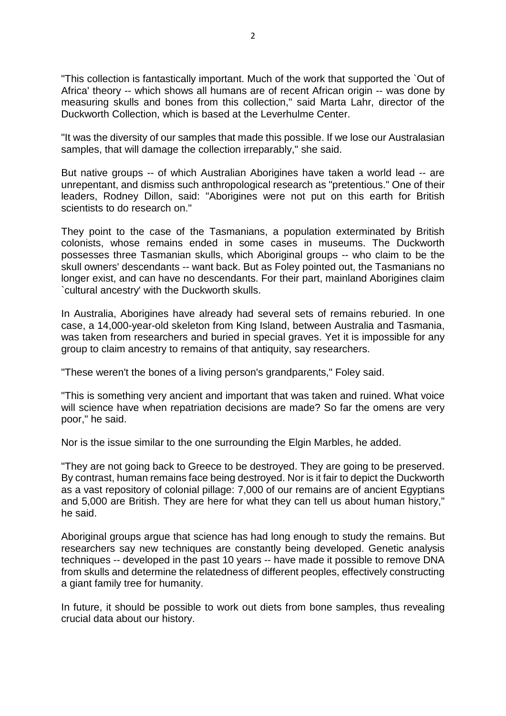"This collection is fantastically important. Much of the work that supported the `Out of Africa' theory -- which shows all humans are of recent African origin -- was done by measuring skulls and bones from this collection," said Marta Lahr, director of the Duckworth Collection, which is based at the Leverhulme Center.

"It was the diversity of our samples that made this possible. If we lose our Australasian samples, that will damage the collection irreparably," she said.

But native groups -- of which Australian Aborigines have taken a world lead -- are unrepentant, and dismiss such anthropological research as "pretentious." One of their leaders, Rodney Dillon, said: "Aborigines were not put on this earth for British scientists to do research on."

They point to the case of the Tasmanians, a population exterminated by British colonists, whose remains ended in some cases in museums. The Duckworth possesses three Tasmanian skulls, which Aboriginal groups -- who claim to be the skull owners' descendants -- want back. But as Foley pointed out, the Tasmanians no longer exist, and can have no descendants. For their part, mainland Aborigines claim `cultural ancestry' with the Duckworth skulls.

In Australia, Aborigines have already had several sets of remains reburied. In one case, a 14,000-year-old skeleton from King Island, between Australia and Tasmania, was taken from researchers and buried in special graves. Yet it is impossible for any group to claim ancestry to remains of that antiquity, say researchers.

"These weren't the bones of a living person's grandparents," Foley said.

"This is something very ancient and important that was taken and ruined. What voice will science have when repatriation decisions are made? So far the omens are very poor," he said.

Nor is the issue similar to the one surrounding the Elgin Marbles, he added.

"They are not going back to Greece to be destroyed. They are going to be preserved. By contrast, human remains face being destroyed. Nor is it fair to depict the Duckworth as a vast repository of colonial pillage: 7,000 of our remains are of ancient Egyptians and 5,000 are British. They are here for what they can tell us about human history," he said.

Aboriginal groups argue that science has had long enough to study the remains. But researchers say new techniques are constantly being developed. Genetic analysis techniques -- developed in the past 10 years -- have made it possible to remove DNA from skulls and determine the relatedness of different peoples, effectively constructing a giant family tree for humanity.

In future, it should be possible to work out diets from bone samples, thus revealing crucial data about our history.